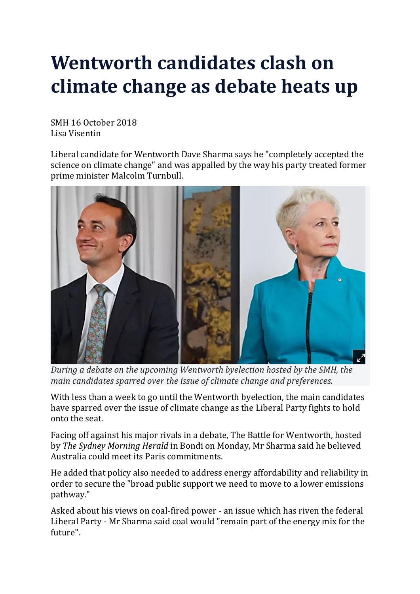## **Wentworth candidates clash on climate change as debate heats up**

SMH 16 October 2018 Lisa Visentin

Liberal candidate for Wentworth Dave Sharma says he "completely accepted the science on climate change" and was appalled by the way his party treated former prime minister Malcolm Turnbull.



*During a debate on the upcoming Wentworth byelection hosted by the SMH, the main candidates sparred over the issue of climate change and preferences.*

With less than a week to go until the Wentworth byelection, the main candidates have sparred over the issue of climate change as the Liberal Party fights to hold onto the seat.

Facing off against his major rivals in a debate, The Battle for Wentworth, hosted by *The Sydney Morning Herald* in Bondi on Monday, Mr Sharma said he believed Australia could meet its Paris commitments.

He added that policy also needed to address energy affordability and reliability in order to secure the "broad public support we need to move to a lower emissions pathway."

Asked about his views on coal-fired power - an issue which has riven the federal Liberal Party - Mr Sharma said coal would "remain part of the energy mix for the future".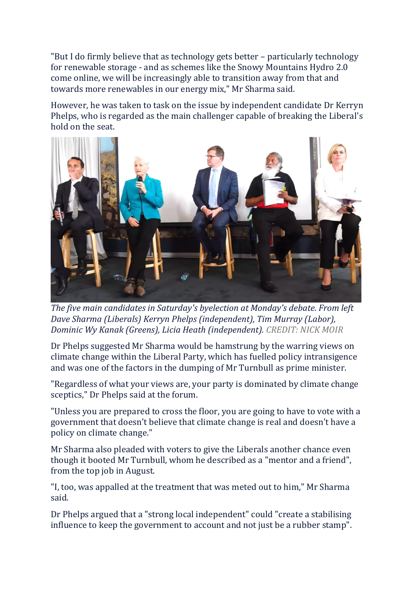"But I do firmly believe that as technology gets better – particularly technology for renewable storage - and as schemes like the Snowy Mountains Hydro 2.0 come online, we will be increasingly able to transition away from that and towards more renewables in our energy mix," Mr Sharma said.

However, he was taken to task on the issue by independent candidate Dr Kerryn Phelps, who is regarded as the main challenger capable of breaking the Liberal's hold on the seat.



*The five main candidates in Saturday's byelection at Monday's debate. From left Dave Sharma (Liberals) Kerryn Phelps (independent), Tim Murray (Labor), Dominic Wy Kanak (Greens), Licia Heath (independent). CREDIT: NICK MOIR*

Dr Phelps suggested Mr Sharma would be hamstrung by the warring views on climate change within the Liberal Party, which has fuelled policy intransigence and was one of the factors in the dumping of Mr Turnbull as prime minister.

"Regardless of what your views are, your party is dominated by climate change sceptics," Dr Phelps said at the forum.

"Unless you are prepared to cross the floor, you are going to have to vote with a government that doesn't believe that climate change is real and doesn't have a policy on climate change."

Mr Sharma also pleaded with voters to give the Liberals another chance even though it booted Mr Turnbull, whom he described as a "mentor and a friend", from the top job in August.

"I, too, was appalled at the treatment that was meted out to him," Mr Sharma said.

Dr Phelps argued that a "strong local independent" could "create a stabilising influence to keep the government to account and not just be a rubber stamp".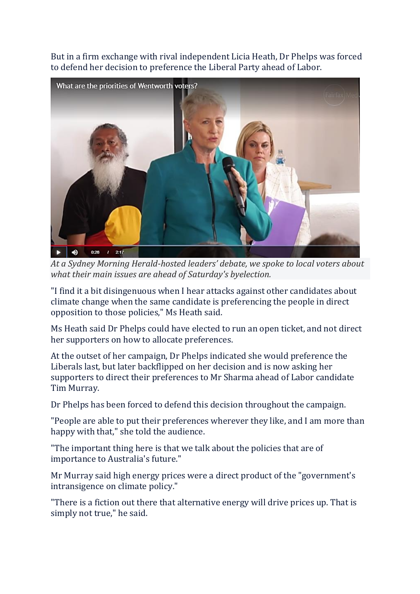But in a firm exchange with rival independent Licia Heath, Dr Phelps was forced to defend her decision to preference the Liberal Party ahead of Labor.



*At a Sydney Morning Herald-hosted leaders' debate, we spoke to local voters about what their main issues are ahead of Saturday's byelection.*

"I find it a bit disingenuous when I hear attacks against other candidates about climate change when the same candidate is preferencing the people in direct opposition to those policies," Ms Heath said.

Ms Heath said Dr Phelps could have elected to run an open ticket, and not direct her supporters on how to allocate preferences.

At the outset of her campaign, Dr Phelps indicated she would preference the Liberals last, but later backflipped on her decision and is now asking her supporters to direct their preferences to Mr Sharma ahead of Labor candidate Tim Murray.

Dr Phelps has been forced to defend this decision throughout the campaign.

"People are able to put their preferences wherever they like, and I am more than happy with that," she told the audience.

"The important thing here is that we talk about the policies that are of importance to Australia's future."

Mr Murray said high energy prices were a direct product of the "government's intransigence on climate policy."

"There is a fiction out there that alternative energy will drive prices up. That is simply not true," he said.